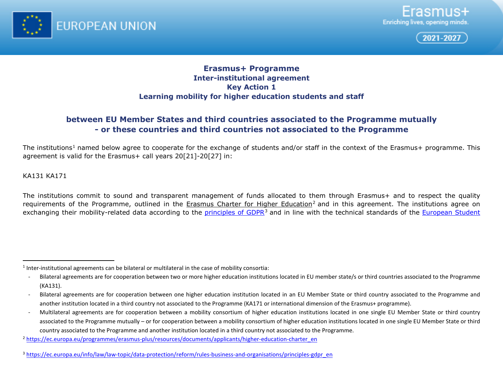

<span id="page-0-2"></span><span id="page-0-1"></span><span id="page-0-0"></span>



# **Erasmus+ Programme Inter-institutional agreement Key Action 1 Learning mobility for higher education students and staff**

# **between EU Member States and third countries associated to the Programme mutually - or these countries and third countries not associated to the Programme**

The institutions<sup>[1](#page-0-0)</sup> named below agree to cooperate for the exchange of students and/or staff in the context of the Erasmus+ programme. This agreement is valid for the Erasmus+ call years 20[21]-20[27] in:

KA131 KA171

The institutions commit to sound and transparent management of funds allocated to them through Erasmus+ and to respect the quality requirements of the Programme, outlined in the [Erasmus Charter for Higher Education](https://ec.europa.eu/programmes/erasmus-plus/resources/documents/applicants/higher-education-charter_en)<sup>[2](#page-0-1)</sup> and in this agreement. The institutions agree on exchanging their mobility-related data according to the [principles of GDPR](https://ec.europa.eu/info/law/law-topic/data-protection/reform/rules-business-and-organisations/principles-gdpr_en)<sup>[3](#page-0-2)</sup> and in line with the technical standards of the *European Student* 

 <sup>1</sup> Inter-institutional agreements can be bilateral or multilateral in the case of mobility consortia:

Bilateral agreements are for cooperation between two or more higher education institutions located in EU member state/s or third countries associated to the Programme (KA131).

<sup>-</sup> Bilateral agreements are for cooperation between one higher education institution located in an EU Member State or third country associated to the Programme and another institution located in a third country not associated to the Programme (KA171 or international dimension of the Erasmus+ programme).

<sup>-</sup> Multilateral agreements are for cooperation between a mobility consortium of higher education institutions located in one single EU Member State or third country associated to the Programme mutually – or for cooperation between a mobility consortium of higher education institutions located in one single EU Member State or third country associated to the Programme and another institution located in a third country not associated to the Programme.

<sup>2</sup> [https://ec.europa.eu/programmes/erasmus-plus/resources/documents/applicants/higher-education-charter\\_en](https://ec.europa.eu/programmes/erasmus-plus/resources/documents/applicants/higher-education-charter_en)

<sup>3</sup> [https://ec.europa.eu/info/law/law-topic/data-protection/reform/rules-business-and-organisations/principles-gdpr\\_en](https://ec.europa.eu/info/law/law-topic/data-protection/reform/rules-business-and-organisations/principles-gdpr_en)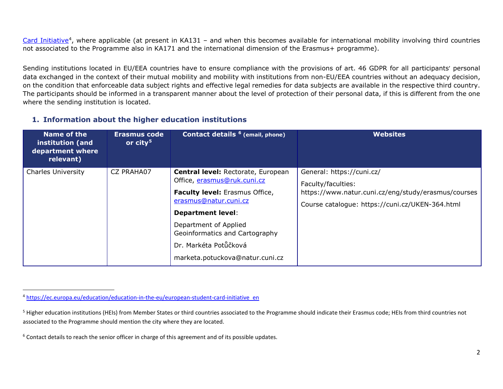<span id="page-1-2"></span><span id="page-1-1"></span><span id="page-1-0"></span>[Card Initiative](https://ec.europa.eu/education/education-in-the-eu/european-student-card-initiative_en)<sup>4</sup>, where applicable (at present in KA131 – and when this becomes available for international mobility involving third countries not associated to the Programme also in KA171 and the international dimension of the Erasmus+ programme).

Sending institutions located in EU/EEA countries have to ensure compliance with the provisions of art. 46 GDPR for all participants' personal data exchanged in the context of their mutual mobility and mobility with institutions from non-EU/EEA countries without an adequacy decision, on the condition that enforceable data subject rights and effective legal remedies for data subjects are available in the respective third country. The participants should be informed in a transparent manner about the level of protection of their personal data, if this is different from the one where the sending institution is located.

### **1. Information about the higher education institutions**

| Name of the<br>institution (and<br>department where<br>relevant) | <b>Erasmus code</b><br>or city <sup>5</sup> | Contact details <sup>6</sup> (email, phone)                                                                       | <b>Websites</b>                                                                                        |
|------------------------------------------------------------------|---------------------------------------------|-------------------------------------------------------------------------------------------------------------------|--------------------------------------------------------------------------------------------------------|
| <b>Charles University</b>                                        | CZ PRAHA07                                  | <b>Central level: Rectorate, European</b><br>Office, erasmus@ruk.cuni.cz<br><b>Faculty level:</b> Erasmus Office, | General: https://cuni.cz/<br>Faculty/faculties:<br>https://www.natur.cuni.cz/eng/study/erasmus/courses |
|                                                                  |                                             | erasmus@natur.cuni.cz<br><b>Department level:</b>                                                                 | Course catalogue: https://cuni.cz/UKEN-364.html                                                        |
|                                                                  |                                             | Department of Applied<br>Geoinformatics and Cartography<br>Dr. Markéta Potůčková                                  |                                                                                                        |
|                                                                  |                                             | marketa.potuckova@natur.cuni.cz                                                                                   |                                                                                                        |

 <sup>4</sup> [https://ec.europa.eu/education/education-in-the-eu/european-student-card-initiative\\_en](https://ec.europa.eu/education/education-in-the-eu/european-student-card-initiative_en)

<sup>&</sup>lt;sup>5</sup> Higher education institutions (HEIs) from Member States or third countries associated to the Programme should indicate their Erasmus code; HEIs from third countries not associated to the Programme should mention the city where they are located.

<sup>&</sup>lt;sup>6</sup> Contact details to reach the senior officer in charge of this agreement and of its possible updates.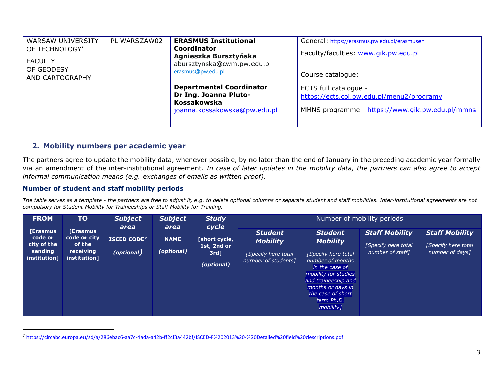<span id="page-2-0"></span>

| <b>WARSAW UNIVERSITY</b>      | PL WARSZAW02 | <b>ERASMUS Institutional</b>                        | General: https://erasmus.pw.edu.pl/erasmusen    |
|-------------------------------|--------------|-----------------------------------------------------|-------------------------------------------------|
| OF TECHNOLOGY'                |              | Coordinator                                         | Faculty/faculties: www.gik.pw.edu.pl            |
| <b>FACULTY</b>                |              | Agnieszka Bursztyńska<br>abursztynska@cwm.pw.edu.pl |                                                 |
| OF GEODESY<br>AND CARTOGRAPHY |              | erasmus@pw.edu.pl                                   | Course catalogue:                               |
|                               |              | <b>Departmental Coordinator</b>                     | ECTS full catalogue -                           |
|                               |              | Dr Ing. Joanna Pluto-                               | https://ects.coi.pw.edu.pl/menu2/programy       |
|                               |              | <b>Kossakowska</b><br>joanna.kossakowska@pw.edu.pl  | MMNS programme - https://www.gik.pw.edu.pl/mmns |
|                               |              |                                                     |                                                 |

### **2. Mobility numbers per academic year**

The partners agree to update the mobility data, whenever possible, by no later than the end of January in the preceding academic year formally via an amendment of the inter-institutional agreement. *In case of later updates in the mobility data, the partners can also agree to accept informal communication means (e.g. exchanges of emails as written proof).*

#### **Number of student and staff mobility periods**

*The table serves as a template - the partners are free to adjust it, e.g. to delete optional columns or separate student and staff mobilities. Inter-institutional agreements are not compulsory for Student Mobility for Traineeships or Staff Mobility for Training.* 

| <b>FROM</b>                                                          | <b>TO</b>                                                              | <b>Subject</b>                           | <b>Subject</b>                    | <b>Study</b>                                                   |                                                                                       |                                                                                                                                                                                                                     | Number of mobility periods                                             |                                                                 |
|----------------------------------------------------------------------|------------------------------------------------------------------------|------------------------------------------|-----------------------------------|----------------------------------------------------------------|---------------------------------------------------------------------------------------|---------------------------------------------------------------------------------------------------------------------------------------------------------------------------------------------------------------------|------------------------------------------------------------------------|-----------------------------------------------------------------|
| <b>[Erasmus</b><br>code or<br>city of the<br>sending<br>institution1 | <b>[Erasmus</b><br>code or city<br>of the<br>receiving<br>institution] | area<br><b>ISCED CODE?</b><br>(optional) | area<br><b>NAME</b><br>(optional) | cycle<br>[short cycle,<br>1st, 2nd or<br>$3rd$ ]<br>(optional) | <b>Student</b><br><b>Mobility</b><br><b>Specify here total</b><br>number of students] | <b>Student</b><br><b>Mobility</b><br>[Specify here total]<br>number of months<br>in the case of<br>mobility for studies<br>and traineeship and<br>months or days in<br>the case of short<br>term Ph.D.<br>mobility] | <b>Staff Mobility</b><br><b>Specify here total</b><br>number of staff] | <b>Staff Mobility</b><br>[Specify here total<br>number of days] |

 <sup>7</sup> <https://circabc.europa.eu/sd/a/286ebac6-aa7c-4ada-a42b-ff2cf3a442bf/ISCED-F%202013%20-%20Detailed%20field%20descriptions.pdf>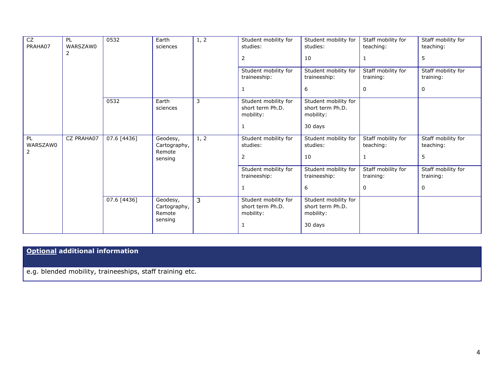| CZ<br><b>PL</b><br>PRAHA07<br>2   | WARSZAW0      | 0532<br>Earth<br>sciences                     | 1, 2                                          | Student mobility for<br>studies:<br>$\overline{2}$ | Student mobility for<br>studies:<br>10                     | Staff mobility for<br>teaching:<br>1                             | Staff mobility for<br>teaching:<br>5 |                                                |
|-----------------------------------|---------------|-----------------------------------------------|-----------------------------------------------|----------------------------------------------------|------------------------------------------------------------|------------------------------------------------------------------|--------------------------------------|------------------------------------------------|
|                                   |               |                                               |                                               |                                                    | Student mobility for<br>traineeship:<br>1                  | Student mobility for<br>traineeship:<br>6                        | Staff mobility for<br>training:<br>0 | Staff mobility for<br>training:<br>$\mathbf 0$ |
|                                   |               | 0532                                          | Earth<br>sciences                             | 3                                                  | Student mobility for<br>short term Ph.D.<br>mobility:<br>1 | Student mobility for<br>short term Ph.D.<br>mobility:<br>30 days |                                      |                                                |
| PL<br>CZ PRAHA07<br>WARSZAW0<br>2 | $07.6$ [4436] | Geodesy,<br>Cartography,<br>Remote<br>sensing | $\overline{1, 2}$                             | Student mobility for<br>studies:<br>2              | Student mobility for<br>studies:<br>10                     | Staff mobility for<br>teaching:<br>1                             | Staff mobility for<br>teaching:<br>5 |                                                |
|                                   |               |                                               |                                               |                                                    | Student mobility for<br>traineeship:<br>1                  | Student mobility for<br>traineeship:<br>$\boldsymbol{6}$         | Staff mobility for<br>training:<br>0 | Staff mobility for<br>training:<br>0           |
|                                   |               | 07.6 [4436]                                   | Geodesy,<br>Cartography,<br>Remote<br>sensing | 3                                                  | Student mobility for<br>short term Ph.D.<br>mobility:<br>1 | Student mobility for<br>short term Ph.D.<br>mobility:<br>30 days |                                      |                                                |

# **Optional additional information**

e.g. blended mobility, traineeships, staff training etc.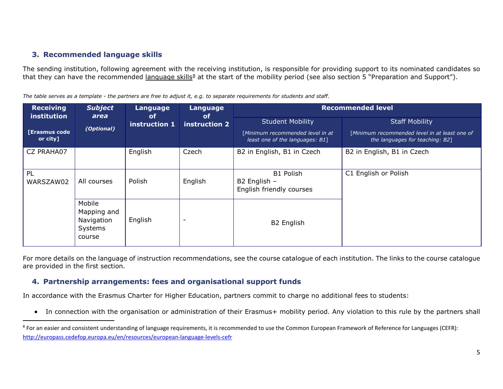# <span id="page-4-0"></span>**3. Recommended language skills**

The sending institution, following agreement with the receiving institution, is responsible for providing support to its nominated candidates so that they can have the recommended language skills<sup>8</sup> at the start of the mobility period (see also section 5 "Preparation and Support").

*The table serves as a template - the partners are free to adjust it, e.g. to separate requirements for students and staff.* 

| <b>Receiving</b><br>institution  | <b>Subject</b><br>area                                   | Language<br><b>of</b> | Language<br><b>of</b> |                                                                                                | <b>Recommended level</b>                                                                                  |
|----------------------------------|----------------------------------------------------------|-----------------------|-----------------------|------------------------------------------------------------------------------------------------|-----------------------------------------------------------------------------------------------------------|
| <b>[Erasmus code</b><br>or city] | (Optional)                                               | instruction 1         | instruction 2         | <b>Student Mobility</b><br>[Minimum recommended level in at<br>least one of the languages: B1] | <b>Staff Mobility</b><br>[Minimum recommended level in at least one of<br>the languages for teaching: B2] |
| CZ PRAHA07                       |                                                          | English               | Czech                 | B2 in English, B1 in Czech                                                                     | B2 in English, B1 in Czech                                                                                |
| PL<br>WARSZAW02                  | All courses                                              | Polish                | English               | B1 Polish<br>$B2$ English –<br>English friendly courses                                        | C1 English or Polish                                                                                      |
|                                  | Mobile<br>Mapping and<br>Navigation<br>Systems<br>course | English               |                       | <b>B2 English</b>                                                                              |                                                                                                           |

For more details on the language of instruction recommendations, see the course catalogue of each institution. The links to the course catalogue are provided in the first section*.*

### **4. Partnership arrangements: fees and organisational support funds**

In accordance with the Erasmus Charter for Higher Education, partners commit to charge no additional fees to students:

• In connection with the organisation or administration of their Erasmus+ mobility period. Any violation to this rule by the partners shall

<sup>&</sup>lt;sup>8</sup> For an easier and consistent understanding of language requirements, it is recommended to use the Common European Framework of Reference for Languages (CEFR): <http://europass.cedefop.europa.eu/en/resources/european-language-levels-cefr>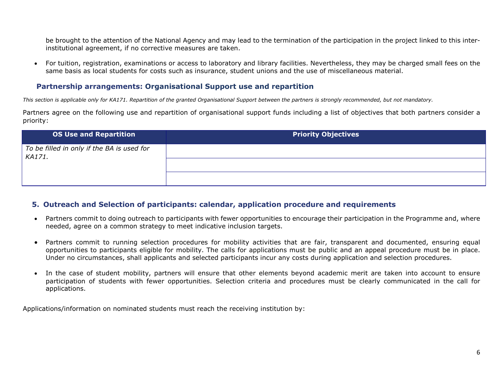be brought to the attention of the National Agency and may lead to the termination of the participation in the project linked to this interinstitutional agreement, if no corrective measures are taken.

• For tuition, registration, examinations or access to laboratory and library facilities. Nevertheless, they may be charged small fees on the same basis as local students for costs such as insurance, student unions and the use of miscellaneous material.

#### **Partnership arrangements: Organisational Support use and repartition**

*This section is applicable only for KA171. Repartition of the granted Organisational Support between the partners is strongly recommended, but not mandatory.*

Partners agree on the following use and repartition of organisational support funds including a list of objectives that both partners consider a priority:

| <b>OS Use and Repartition</b>                        | <b>Priority Objectives</b> |
|------------------------------------------------------|----------------------------|
| To be filled in only if the BA is used for<br>KA171. |                            |
|                                                      |                            |
|                                                      |                            |

#### **5. Outreach and Selection of participants: calendar, application procedure and requirements**

- Partners commit to doing outreach to participants with fewer opportunities to encourage their participation in the Programme and, where needed, agree on a common strategy to meet indicative inclusion targets.
- Partners commit to running selection procedures for mobility activities that are fair, transparent and documented, ensuring equal opportunities to participants eligible for mobility. The calls for applications must be public and an appeal procedure must be in place. Under no circumstances, shall applicants and selected participants incur any costs during application and selection procedures.
- In the case of student mobility, partners will ensure that other elements beyond academic merit are taken into account to ensure participation of students with fewer opportunities. Selection criteria and procedures must be clearly communicated in the call for applications.

Applications/information on nominated students must reach the receiving institution by: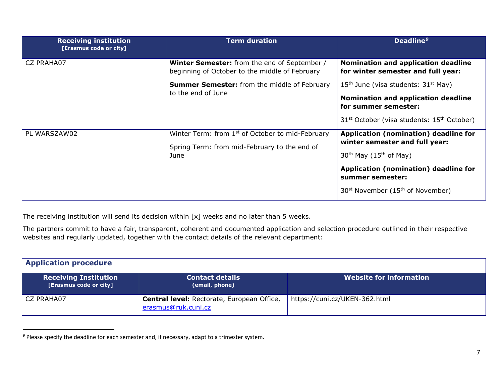<span id="page-6-0"></span>

| <b>Receiving institution</b><br>[Erasmus code or city] | <b>Term duration</b>                                                                                                 | Deadline <sup>9</sup>                                                                                           |
|--------------------------------------------------------|----------------------------------------------------------------------------------------------------------------------|-----------------------------------------------------------------------------------------------------------------|
| CZ PRAHA07                                             | <b>Winter Semester:</b> from the end of September /<br>beginning of October to the middle of February                | Nomination and application deadline<br>for winter semester and full year:                                       |
|                                                        | <b>Summer Semester:</b> from the middle of February                                                                  | 15 <sup>th</sup> June (visa students: 31 <sup>st</sup> May)                                                     |
|                                                        | to the end of June                                                                                                   | Nomination and application deadline<br>for summer semester:                                                     |
|                                                        |                                                                                                                      | 31 <sup>st</sup> October (visa students: 15 <sup>th</sup> October)                                              |
| PL WARSZAW02                                           | Winter Term: from 1 <sup>st</sup> of October to mid-February<br>Spring Term: from mid-February to the end of<br>June | Application (nomination) deadline for<br>winter semester and full year:<br>$30th$ May (15 <sup>th</sup> of May) |
|                                                        |                                                                                                                      | Application (nomination) deadline for<br>summer semester:                                                       |
|                                                        |                                                                                                                      | 30 <sup>st</sup> November (15 <sup>th</sup> of November)                                                        |

The receiving institution will send its decision within [x] weeks and no later than 5 weeks.

The partners commit to have a fair, transparent, coherent and documented application and selection procedure outlined in their respective websites and regularly updated, together with the contact details of the relevant department:

| <b>Application procedure</b>                           |                                                                   |                               |
|--------------------------------------------------------|-------------------------------------------------------------------|-------------------------------|
| <b>Receiving Institution</b><br>[Erasmus code or city] | <b>Contact details</b><br>(email, phone)                          | Website for information       |
| CZ PRAHA07                                             | Central level: Rectorate, European Office,<br>erasmus@ruk.cuni.cz | https://cuni.cz/UKEN-362.html |

<sup>&</sup>lt;sup>9</sup> Please specify the deadline for each semester and, if necessary, adapt to a trimester system.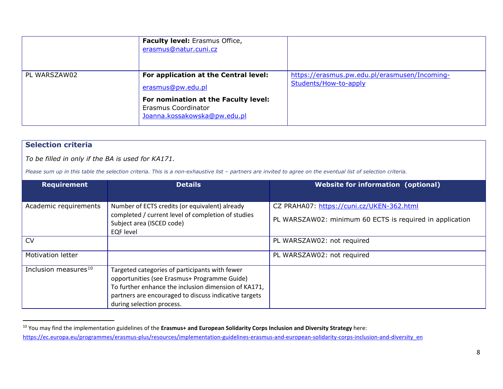<span id="page-7-0"></span>

|              | <b>Faculty level:</b> Erasmus Office,<br>erasmus@natur.cuni.cz                                                                                            |                                                                        |
|--------------|-----------------------------------------------------------------------------------------------------------------------------------------------------------|------------------------------------------------------------------------|
| PL WARSZAW02 | For application at the Central level:<br>erasmus@pw.edu.pl<br>For nomination at the Faculty level:<br>Erasmus Coordinator<br>Joanna.kossakowska@pw.edu.pl | https://erasmus.pw.edu.pl/erasmusen/Incoming-<br>Students/How-to-apply |

# **Selection criteria**

*To be filled in only if the BA is used for KA171.*

*Please sum up in this table the selection criteria. This is a non-exhaustive list – partners are invited to agree on the eventual list of selection criteria.*

| <b>Requirement</b>               | <b>Details</b>                                                                  | <b>Website for information (optional)</b>                |
|----------------------------------|---------------------------------------------------------------------------------|----------------------------------------------------------|
|                                  |                                                                                 |                                                          |
| Academic requirements            | Number of ECTS credits (or equivalent) already                                  | CZ PRAHA07: https://cuni.cz/UKEN-362.html                |
|                                  | completed / current level of completion of studies<br>Subject area (ISCED code) | PL WARSZAW02: minimum 60 ECTS is required in application |
|                                  | <b>EQF</b> level                                                                |                                                          |
| <b>CV</b>                        |                                                                                 | PL WARSZAW02: not required                               |
| <b>Motivation letter</b>         |                                                                                 | PL WARSZAW02: not required                               |
| Inclusion measures <sup>10</sup> | Targeted categories of participants with fewer                                  |                                                          |
|                                  | opportunities (see Erasmus+ Programme Guide)                                    |                                                          |
|                                  | To further enhance the inclusion dimension of KA171,                            |                                                          |
|                                  | partners are encouraged to discuss indicative targets                           |                                                          |
|                                  | during selection process.                                                       |                                                          |

 <sup>10</sup> You may find the implementation guidelines of the **Erasmus+ and European Solidarity Corps Inclusion and Diversity Strategy** here: [https://ec.europa.eu/programmes/erasmus-plus/resources/implementation-guidelines-erasmus-and-european-solidarity-corps-inclusion-and-diversity\\_en](https://ec.europa.eu/programmes/erasmus-plus/resources/implementation-guidelines-erasmus-and-european-solidarity-corps-inclusion-and-diversity_en)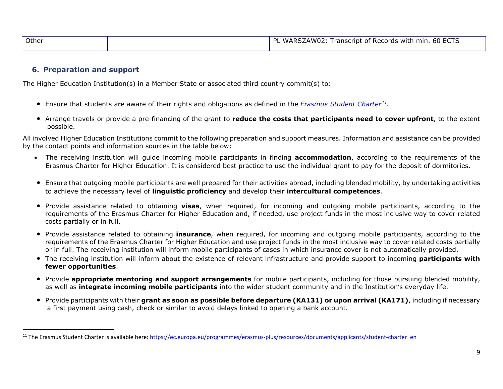<span id="page-8-0"></span>

| Other | $60$ ECTS<br>WARSZAW02:<br>DI<br>Transcript of Records with min. |
|-------|------------------------------------------------------------------|
|       |                                                                  |

### **6. Preparation and support**

The Higher Education Institution(s) in a Member State or associated third country commit(s) to:

- Ensure that students are aware of their rights and obligations as defined in the *[Erasmus Student Charter](https://ec.europa.eu/programmes/erasmus-plus/resources/documents/applicants/student-charter_en)[11](#page-8-0).*
- Arrange travels or provide a pre-financing of the grant to **reduce the costs that participants need to cover upfront**, to the extent possible.

All involved Higher Education Institutions commit to the following preparation and support measures. Information and assistance can be provided by the contact points and information sources in the table below:

- The receiving institution will guide incoming mobile participants in finding **accommodation**, according to the requirements of the Erasmus Charter for Higher Education. It is considered best practice to use the individual grant to pay for the deposit of dormitories.
- Ensure that outgoing mobile participants are well prepared for their activities abroad, including blended mobility, by undertaking activities to achieve the necessary level of **linguistic proficiency** and develop their **intercultural competences**.
- Provide assistance related to obtaining **visas**, when required, for incoming and outgoing mobile participants, according to the requirements of the Erasmus Charter for Higher Education and, if needed, use project funds in the most inclusive way to cover related costs partially or in full.
- Provide assistance related to obtaining **insurance**, when required, for incoming and outgoing mobile participants, according to the requirements of the Erasmus Charter for Higher Education and use project funds in the most inclusive way to cover related costs partially or in full. The receiving institution will inform mobile participants of cases in which insurance cover is not automatically provided.
- The receiving institution will inform about the existence of relevant infrastructure and provide support to incoming **participants with fewer opportunities**.
- Provide **appropriate mentoring and support arrangements** for mobile participants, including for those pursuing blended mobility, as well as **integrate incoming mobile participants** into the wider student community and in the Institution's everyday life.
- Provide participants with their **grant as soon as possible before departure (KA131) or upon arrival (KA171)**, including if necessary a first payment using cash, check or similar to avoid delays linked to opening a bank account.

<sup>&</sup>lt;sup>11</sup> The Erasmus Student Charter is available here: [https://ec.europa.eu/programmes/erasmus-plus/resources/documents/applicants/student-charter\\_en](https://ec.europa.eu/programmes/erasmus-plus/resources/documents/applicants/student-charter_en)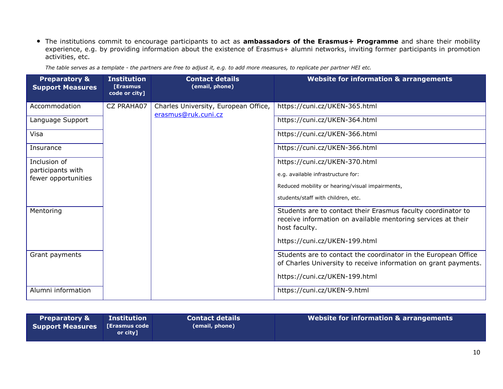• The institutions commit to encourage participants to act as **ambassadors of the Erasmus+ Programme** and share their mobility experience, e.g. by providing information about the existence of Erasmus+ alumni networks, inviting former participants in promotion activities, etc.

*The table serves as a template - the partners are free to adjust it, e.g. to add more measures, to replicate per partner HEI etc.* 

| <b>Preparatory &amp;</b><br><b>Support Measures</b> | <b>Institution</b><br><b>[Erasmus</b><br>code or city] | <b>Contact details</b><br>(email, phone)                    | <b>Website for information &amp; arrangements</b>                                                                                 |
|-----------------------------------------------------|--------------------------------------------------------|-------------------------------------------------------------|-----------------------------------------------------------------------------------------------------------------------------------|
| Accommodation                                       | <b>CZ PRAHA07</b>                                      | Charles University, European Office,<br>erasmus@ruk.cuni.cz | https://cuni.cz/UKEN-365.html                                                                                                     |
| Language Support                                    |                                                        |                                                             | https://cuni.cz/UKEN-364.html                                                                                                     |
| Visa                                                |                                                        |                                                             | https://cuni.cz/UKEN-366.html                                                                                                     |
| Insurance                                           |                                                        |                                                             | https://cuni.cz/UKEN-366.html                                                                                                     |
| Inclusion of                                        |                                                        |                                                             | https://cuni.cz/UKEN-370.html                                                                                                     |
| participants with<br>fewer opportunities            |                                                        |                                                             | e.g. available infrastructure for:                                                                                                |
|                                                     |                                                        |                                                             | Reduced mobility or hearing/visual impairments,                                                                                   |
|                                                     |                                                        |                                                             | students/staff with children, etc.                                                                                                |
| Mentoring                                           |                                                        |                                                             | Students are to contact their Erasmus faculty coordinator to<br>receive information on available mentoring services at their      |
|                                                     |                                                        |                                                             | host faculty.                                                                                                                     |
|                                                     |                                                        |                                                             | https://cuni.cz/UKEN-199.html                                                                                                     |
| Grant payments                                      |                                                        |                                                             | Students are to contact the coordinator in the European Office<br>of Charles University to receive information on grant payments. |
|                                                     |                                                        |                                                             | https://cuni.cz/UKEN-199.html                                                                                                     |
| Alumni information                                  |                                                        |                                                             | https://cuni.cz/UKEN-9.html                                                                                                       |

| <b>Preparatory &amp;</b><br><b>Support Measures</b> | <b>Institution</b><br>、「Erasmus code \<br>or city] | <b>Contact details</b><br>(email, phone) | Website for information & arrangements |
|-----------------------------------------------------|----------------------------------------------------|------------------------------------------|----------------------------------------|
|-----------------------------------------------------|----------------------------------------------------|------------------------------------------|----------------------------------------|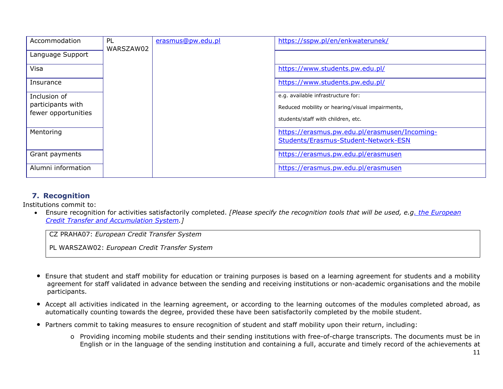| Accommodation       | PL<br>WARSZAW02 | erasmus@pw.edu.pl | https://sspw.pl/en/enkwaterunek/                |
|---------------------|-----------------|-------------------|-------------------------------------------------|
| Language Support    |                 |                   |                                                 |
| Visa                |                 |                   | https://www.students.pw.edu.pl/                 |
| Insurance           |                 |                   | https://www.students.pw.edu.pl/                 |
| Inclusion of        |                 |                   | e.g. available infrastructure for:              |
| participants with   |                 |                   | Reduced mobility or hearing/visual impairments, |
| fewer opportunities |                 |                   | students/staff with children, etc.              |
| Mentoring           |                 |                   | https://erasmus.pw.edu.pl/erasmusen/Incoming-   |
|                     |                 |                   | Students/Erasmus-Student-Network-ESN            |
| Grant payments      |                 |                   | https://erasmus.pw.edu.pl/erasmusen             |
| Alumni information  |                 |                   | https://erasmus.pw.edu.pl/erasmusen             |

# **7. Recognition**

Institutions commit to:

• Ensure recognition for activities satisfactorily completed. *[Please specify the recognition tools that will be used, e.[g. the European](https://ec.europa.eu/education/resources-and-tools/european-credit-transfer-and-accumulation-system-ects_en)  [Credit Transfer and Accumulation System.](https://ec.europa.eu/education/resources-and-tools/european-credit-transfer-and-accumulation-system-ects_en)]*

CZ PRAHA07: *European Credit Transfer System*

PL WARSZAW02: *European Credit Transfer System*

- Ensure that student and staff mobility for education or training purposes is based on a learning agreement for students and a mobility agreement for staff validated in advance between the sending and receiving institutions or non-academic organisations and the mobile participants.
- Accept all activities indicated in the learning agreement, or according to the learning outcomes of the modules completed abroad, as automatically counting towards the degree, provided these have been satisfactorily completed by the mobile student.
- Partners commit to taking measures to ensure recognition of student and staff mobility upon their return, including:
	- o Providing incoming mobile students and their sending institutions with free-of-charge transcripts. The documents must be in English or in the language of the sending institution and containing a full, accurate and timely record of the achievements at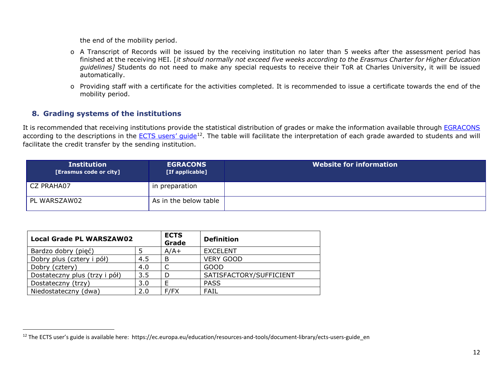<span id="page-11-0"></span>the end of the mobility period.

- o A Transcript of Records will be issued by the receiving institution no later than 5 weeks after the assessment period has finished at the receiving HEI. [*it should normally not exceed five weeks according to the Erasmus Charter for Higher Education guidelines]* Students do not need to make any special requests to receive their ToR at Charles University, it will be issued automatically.
- o Providing staff with a certificate for the activities completed. It is recommended to issue a certificate towards the end of the mobility period.

# **8. Grading systems of the institutions**

It is recommended that receiving institutions provide the statistical distribution of grades or make the information available through [EGRACONS](http://egracons.eu/) according to the descriptions in the **ECTS** users' quide<sup>12</sup>. The table will facilitate the interpretation of each grade awarded to students and will facilitate the credit transfer by the sending institution.

| <b>Institution</b><br>[Erasmus code or city] | <b>EGRACONS</b><br>[If applicable] | <b>Website for information</b> |
|----------------------------------------------|------------------------------------|--------------------------------|
| CZ PRAHA07                                   | in preparation                     |                                |
| PL WARSZAW02                                 | As in the below table              |                                |

| Local Grade PL WARSZAW02      |     | <b>ECTS</b><br>Grade | <b>Definition</b>       |
|-------------------------------|-----|----------------------|-------------------------|
| Bardzo dobry (pięć)           |     | $A/A+$               | <b>EXCELENT</b>         |
| Dobry plus (cztery i pół)     | 4.5 | B                    | <b>VERY GOOD</b>        |
| Dobry (cztery)                | 4.0 |                      | GOOD                    |
| Dostateczny plus (trzy i pół) | 3.5 | D                    | SATISFACTORY/SUFFICIENT |
| Dostateczny (trzy)            | 3.0 |                      | <b>PASS</b>             |
| Niedostateczny (dwa)<br>2.0   |     | F/FX                 | FAIL                    |

<sup>&</sup>lt;sup>12</sup> The ECTS user's guide is available here: https://ec.europa.eu/education/resources-and-tools/document-library/ects-users-guide\_en